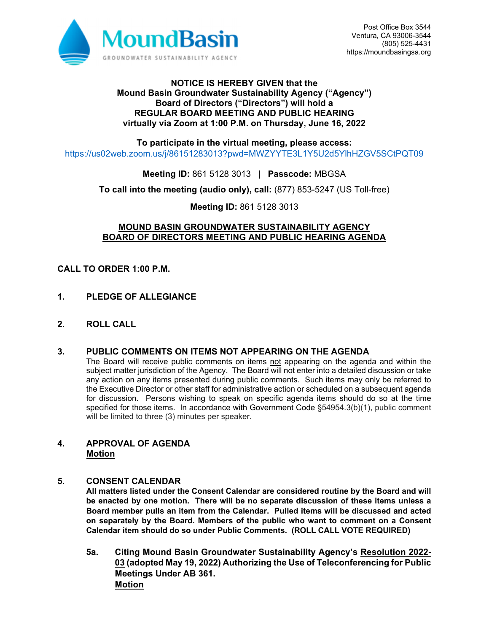

### **NOTICE IS HEREBY GIVEN that the Mound Basin Groundwater Sustainability Agency ("Agency") Board of Directors ("Directors") will hold a REGULAR BOARD MEETING AND PUBLIC HEARING virtually via Zoom at 1:00 P.M. on Thursday, June 16, 2022**

**To participate in the virtual meeting, please access:**

https://us02web.zoom.us/j/86151283013?pwd=MWZYYTE3L1Y5U2d5YlhHZGV5SCtPQT09

**Meeting ID:** 861 5128 3013 | **Passcode:** MBGSA

**To call into the meeting (audio only), call:** (877) 853-5247 (US Toll-free)

**Meeting ID:** 861 5128 3013

### **MOUND BASIN GROUNDWATER SUSTAINABILITY AGENCY BOARD OF DIRECTORS MEETING AND PUBLIC HEARING AGENDA**

### **CALL TO ORDER 1:00 P.M.**

- **1. PLEDGE OF ALLEGIANCE**
- **2. ROLL CALL**

### **3. PUBLIC COMMENTS ON ITEMS NOT APPEARING ON THE AGENDA**

The Board will receive public comments on items not appearing on the agenda and within the subject matter jurisdiction of the Agency. The Board will not enter into a detailed discussion or take any action on any items presented during public comments. Such items may only be referred to the Executive Director or other staff for administrative action or scheduled on a subsequent agenda for discussion. Persons wishing to speak on specific agenda items should do so at the time specified for those items. In accordance with Government Code §54954.3(b)(1), public comment will be limited to three (3) minutes per speaker.

### **4. APPROVAL OF AGENDA Motion**

#### **5. CONSENT CALENDAR**

**All matters listed under the Consent Calendar are considered routine by the Board and will be enacted by one motion. There will be no separate discussion of these items unless a Board member pulls an item from the Calendar. Pulled items will be discussed and acted on separately by the Board. Members of the public who want to comment on a Consent Calendar item should do so under Public Comments. (ROLL CALL VOTE REQUIRED)** 

**5a. Citing Mound Basin Groundwater Sustainability Agency's Resolution 2022- 03 (adopted May 19, 2022) Authorizing the Use of Teleconferencing for Public Meetings Under AB 361. Motion**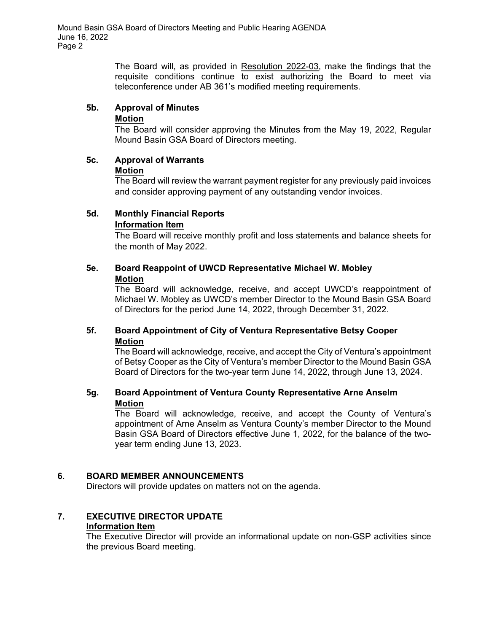The Board will, as provided in Resolution 2022-03, make the findings that the requisite conditions continue to exist authorizing the Board to meet via teleconference under AB 361's modified meeting requirements.

### **5b. Approval of Minutes**

**Motion** 

The Board will consider approving the Minutes from the May 19, 2022, Regular Mound Basin GSA Board of Directors meeting.

#### **5c. Approval of Warrants Motion**

The Board will review the warrant payment register for any previously paid invoices and consider approving payment of any outstanding vendor invoices.

#### **5d. Monthly Financial Reports Information Item**

The Board will receive monthly profit and loss statements and balance sheets for the month of May 2022.

### **5e. Board Reappoint of UWCD Representative Michael W. Mobley Motion**

The Board will acknowledge, receive, and accept UWCD's reappointment of Michael W. Mobley as UWCD's member Director to the Mound Basin GSA Board of Directors for the period June 14, 2022, through December 31, 2022.

## **5f. Board Appointment of City of Ventura Representative Betsy Cooper Motion**

The Board will acknowledge, receive, and accept the City of Ventura's appointment of Betsy Cooper as the City of Ventura's member Director to the Mound Basin GSA Board of Directors for the two-year term June 14, 2022, through June 13, 2024.

### **5g. Board Appointment of Ventura County Representative Arne Anselm Motion**

The Board will acknowledge, receive, and accept the County of Ventura's appointment of Arne Anselm as Ventura County's member Director to the Mound Basin GSA Board of Directors effective June 1, 2022, for the balance of the twoyear term ending June 13, 2023.

### **6. BOARD MEMBER ANNOUNCEMENTS**

Directors will provide updates on matters not on the agenda.

# **7. EXECUTIVE DIRECTOR UPDATE**

#### **Information Item**

The Executive Director will provide an informational update on non-GSP activities since the previous Board meeting.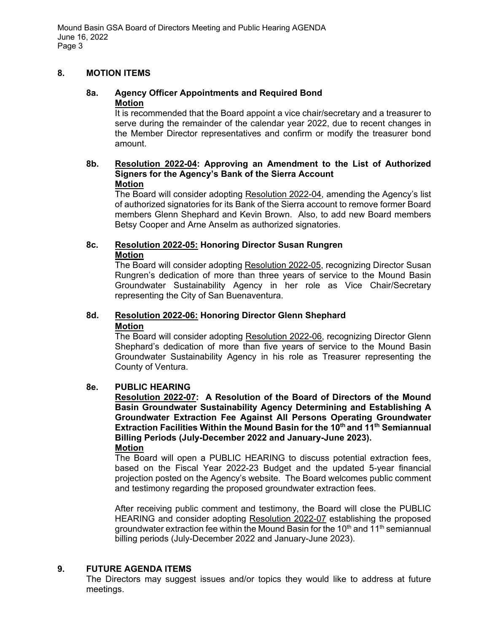Mound Basin GSA Board of Directors Meeting and Public Hearing AGENDA June 16, 2022 Page 3

### **8. MOTION ITEMS**

### **8a. Agency Officer Appointments and Required Bond Motion**

It is recommended that the Board appoint a vice chair/secretary and a treasurer to serve during the remainder of the calendar year 2022, due to recent changes in the Member Director representatives and confirm or modify the treasurer bond amount.

#### **8b. Resolution 2022-04: Approving an Amendment to the List of Authorized Signers for the Agency's Bank of the Sierra Account Motion**

The Board will consider adopting Resolution 2022-04, amending the Agency's list of authorized signatories for its Bank of the Sierra account to remove former Board members Glenn Shephard and Kevin Brown. Also, to add new Board members Betsy Cooper and Arne Anselm as authorized signatories.

### **8c. Resolution 2022-05: Honoring Director Susan Rungren Motion**

 The Board will consider adopting Resolution 2022-05, recognizing Director Susan Rungren's dedication of more than three years of service to the Mound Basin Groundwater Sustainability Agency in her role as Vice Chair/Secretary representing the City of San Buenaventura.

# **8d. Resolution 2022-06: Honoring Director Glenn Shephard Motion**

 The Board will consider adopting Resolution 2022-06, recognizing Director Glenn Shephard's dedication of more than five years of service to the Mound Basin Groundwater Sustainability Agency in his role as Treasurer representing the County of Ventura.

### **8e. PUBLIC HEARING**

**Resolution 2022-07: A Resolution of the Board of Directors of the Mound Basin Groundwater Sustainability Agency Determining and Establishing A Groundwater Extraction Fee Against All Persons Operating Groundwater Extraction Facilities Within the Mound Basin for the 10th and 11th Semiannual Billing Periods (July-December 2022 and January-June 2023). Motion** 

The Board will open a PUBLIC HEARING to discuss potential extraction fees, based on the Fiscal Year 2022-23 Budget and the updated 5-year financial projection posted on the Agency's website. The Board welcomes public comment and testimony regarding the proposed groundwater extraction fees.

After receiving public comment and testimony, the Board will close the PUBLIC HEARING and consider adopting Resolution 2022-07 establishing the proposed groundwater extraction fee within the Mound Basin for the 10<sup>th</sup> and 11<sup>th</sup> semiannual billing periods (July-December 2022 and January-June 2023).

#### **9. FUTURE AGENDA ITEMS**

The Directors may suggest issues and/or topics they would like to address at future meetings.